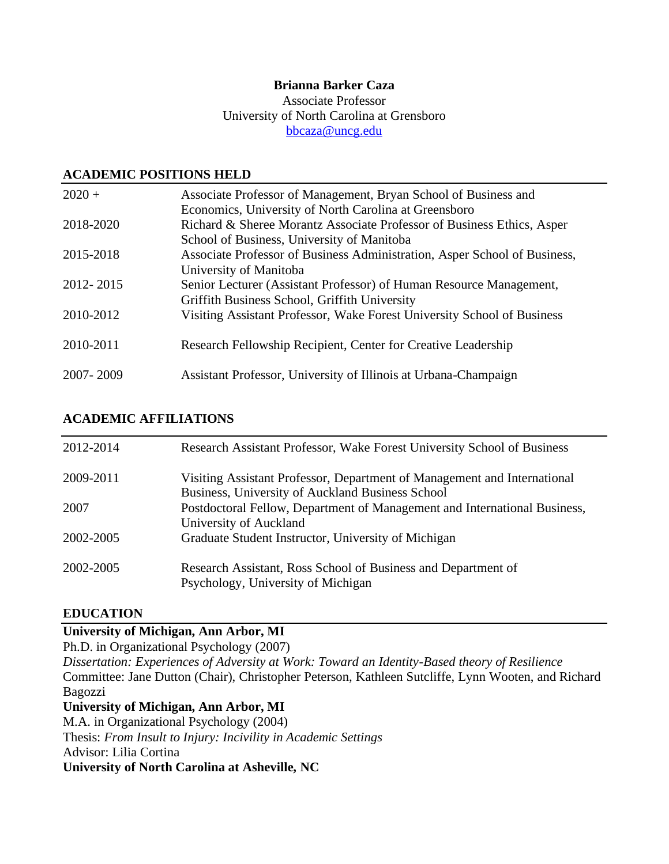# **Brianna Barker Caza**

Associate Professor University of North Carolina at Grensboro [bbcaza@uncg.edu](mailto:bbcaza@uncg.edu)

# **ACADEMIC POSITIONS HELD**

| $2020 +$  | Associate Professor of Management, Bryan School of Business and           |
|-----------|---------------------------------------------------------------------------|
|           | Economics, University of North Carolina at Greensboro                     |
| 2018-2020 | Richard & Sheree Morantz Associate Professor of Business Ethics, Asper    |
|           | School of Business, University of Manitoba                                |
| 2015-2018 | Associate Professor of Business Administration, Asper School of Business, |
|           | University of Manitoba                                                    |
| 2012-2015 | Senior Lecturer (Assistant Professor) of Human Resource Management,       |
|           | Griffith Business School, Griffith University                             |
| 2010-2012 | Visiting Assistant Professor, Wake Forest University School of Business   |
|           |                                                                           |
| 2010-2011 | Research Fellowship Recipient, Center for Creative Leadership             |
|           |                                                                           |
| 2007-2009 | Assistant Professor, University of Illinois at Urbana-Champaign           |

# **ACADEMIC AFFILIATIONS**

| 2012-2014 | Research Assistant Professor, Wake Forest University School of Business                                                      |
|-----------|------------------------------------------------------------------------------------------------------------------------------|
| 2009-2011 | Visiting Assistant Professor, Department of Management and International<br>Business, University of Auckland Business School |
| 2007      | Postdoctoral Fellow, Department of Management and International Business,<br>University of Auckland                          |
| 2002-2005 | Graduate Student Instructor, University of Michigan                                                                          |
| 2002-2005 | Research Assistant, Ross School of Business and Department of<br>Psychology, University of Michigan                          |

## **EDUCATION**

# **University of Michigan, Ann Arbor, MI**

Ph.D. in Organizational Psychology (2007)

*Dissertation: Experiences of Adversity at Work: Toward an Identity-Based theory of Resilience* Committee: Jane Dutton (Chair), Christopher Peterson, Kathleen Sutcliffe, Lynn Wooten, and Richard Bagozzi

## **University of Michigan, Ann Arbor, MI**

M.A. in Organizational Psychology (2004) Thesis: *From Insult to Injury: Incivility in Academic Settings* Advisor: Lilia Cortina **University of North Carolina at Asheville, NC**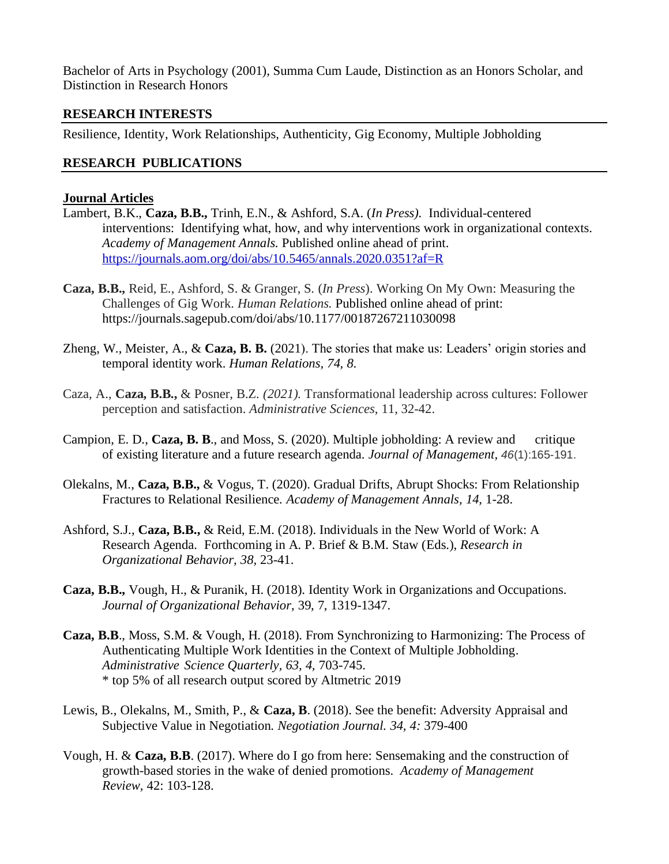Bachelor of Arts in Psychology (2001), Summa Cum Laude, Distinction as an Honors Scholar, and Distinction in Research Honors

## **RESEARCH INTERESTS**

Resilience, Identity, Work Relationships, Authenticity, Gig Economy, Multiple Jobholding

### **RESEARCH PUBLICATIONS**

## **Journal Articles**

- Lambert, B.K., **Caza, B.B.,** Trinh, E.N., & Ashford, S.A. (*In Press).* Individual-centered interventions: Identifying what, how, and why interventions work in organizational contexts. *Academy of Management Annals.* Published online ahead of print. <https://journals.aom.org/doi/abs/10.5465/annals.2020.0351?af=R>
- **Caza, B.B.,** Reid, E., Ashford, S. & Granger, S. (*In Press*). Working On My Own: Measuring the Challenges of Gig Work. *Human Relations.* Published online ahead of print: https://journals.sagepub.com/doi/abs/10.1177/00187267211030098
- Zheng, W., Meister, A., & **Caza, B. B.** (2021). The stories that make us: Leaders' origin stories and temporal identity work. *Human Relations, 74, 8*.
- Caza, A., **Caza, B.B.,** & Posner, B.Z*. (2021).* Transformational leadership across cultures: Follower perception and satisfaction. *Administrative Sciences*, 11, 32-42.
- Campion, E. D., **Caza, B. B**., and Moss, S. (2020). Multiple jobholding: A review and critique of existing literature and a future research agenda. *Journal of Management, 46*(1):165-191.
- Olekalns, M., **Caza, B.B.,** & Vogus, T. (2020). Gradual Drifts, Abrupt Shocks: From Relationship Fractures to Relational Resilience*. Academy of Management Annals, 14,* 1-28.
- Ashford, S.J., **Caza, B.B.,** & Reid, E.M. (2018). Individuals in the New World of Work: A Research Agenda. Forthcoming in A. P. Brief & B.M. Staw (Eds.), *Research in Organizational Behavior, 38,* 23-41.
- **Caza, B.B.,** Vough, H., & Puranik, H. (2018). Identity Work in Organizations and Occupations. *Journal of Organizational Behavior*, 39, 7, 1319-1347.
- **Caza, B.B**., Moss, S.M. & Vough, H. (2018). From Synchronizing to Harmonizing: The Process of Authenticating Multiple Work Identities in the Context of Multiple Jobholding. *Administrative Science Quarterly, 63, 4,* 703-745. \* top 5% of all research output scored by Altmetric 2019
- Lewis, B., Olekalns, M., Smith, P., & **Caza, B**. (2018). See the benefit: Adversity Appraisal and Subjective Value in Negotiation. *Negotiation Journal. 34, 4:* 379-400
- Vough, H. & **Caza, B.B**. (2017). Where do I go from here: Sensemaking and the construction of growth-based stories in the wake of denied promotions. *Academy of Management Review,* 42: 103-128.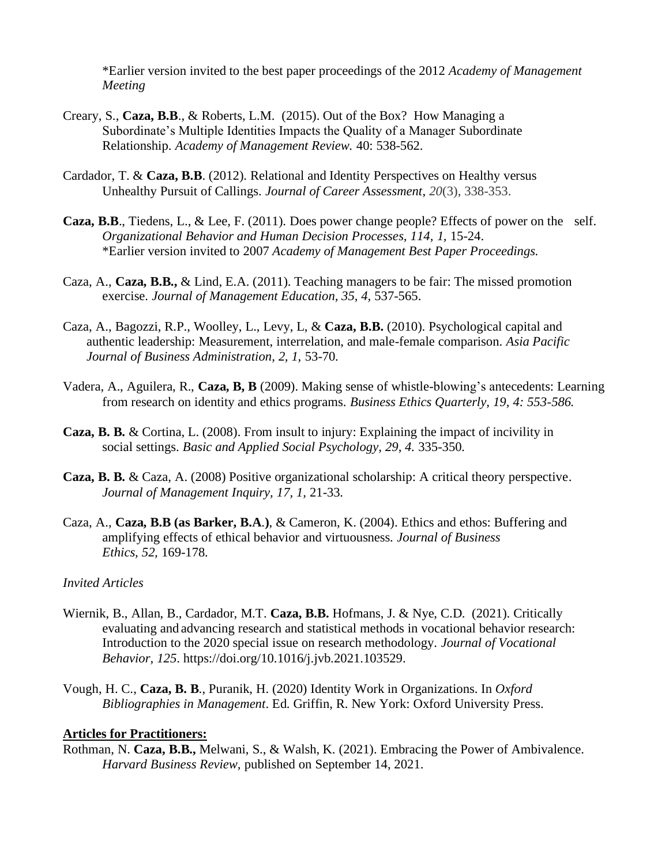\*Earlier version invited to the best paper proceedings of the 2012 *Academy of Management Meeting*

- Creary, S., **Caza, B.B**., & Roberts, L.M. (2015). Out of the Box? How Managing a Subordinate's Multiple Identities Impacts the Quality of a Manager Subordinate Relationship. *Academy of Management Review.* 40: 538-562.
- Cardador, T. & **Caza, B.B**. (2012). Relational and Identity Perspectives on Healthy versus Unhealthy Pursuit of Callings. *Journal of Career Assessment*, *20*(3), 338-353.
- **Caza, B.B**., Tiedens, L., & Lee, F. (2011). Does power change people? Effects of power on the self. *Organizational Behavior and Human Decision Processes, 114, 1,* 15-24. \*Earlier version invited to 2007 *Academy of Management Best Paper Proceedings.*
- Caza, A., **Caza, B.B.,** & Lind, E.A. (2011). Teaching managers to be fair: The missed promotion exercise. *Journal of Management Education, 35, 4,* 537-565.
- Caza, A., Bagozzi, R.P., Woolley, L., Levy, L, & **Caza, B.B.** (2010). Psychological capital and authentic leadership: Measurement, interrelation, and male-female comparison. *Asia Pacific Journal of Business Administration, 2, 1,* 53-70*.*
- Vadera, A., Aguilera, R., **Caza, B, B** (2009). Making sense of whistle-blowing's antecedents: Learning from research on identity and ethics programs. *Business Ethics Quarterly, 19, 4: 553-586.*
- **Caza, B. B.** & Cortina, L. (2008). From insult to injury: Explaining the impact of incivility in social settings. *Basic and Applied Social Psychology, 29, 4.* 335-350*.*
- **Caza, B. B.** & Caza, A. (2008) Positive organizational scholarship: A critical theory perspective. *Journal of Management Inquiry, 17, 1,* 21-33*.*
- Caza, A., **Caza, B.B (as Barker, B.A**.**)**, & Cameron, K. (2004). Ethics and ethos: Buffering and amplifying effects of ethical behavior and virtuousness. *Journal of Business Ethics, 52,* 169-178*.*

#### *Invited Articles*

- Wiernik, B., Allan, B., Cardador, M.T. **Caza, B.B.** Hofmans, J. & Nye, C.D. (2021). Critically evaluating and advancing research and statistical methods in vocational behavior research: Introduction to the 2020 special issue on research methodology. *Journal of Vocational Behavior, 125*. https://doi.org/10.1016/j.jvb.2021.103529.
- Vough, H. C., **Caza, B. B**., Puranik, H. (2020) Identity Work in Organizations. In *Oxford Bibliographies in Management*. Ed. Griffin, R. New York: Oxford University Press.

## **Articles for Practitioners:**

Rothman, N. **Caza, B.B.,** Melwani, S., & Walsh, K. (2021). Embracing the Power of Ambivalence. *Harvard Business Review,* published on September 14, 2021.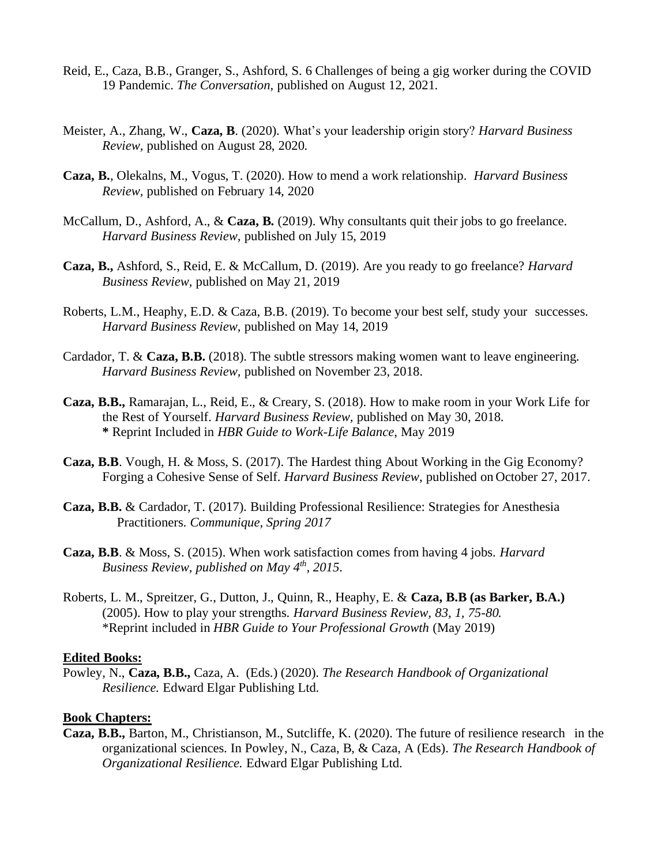- Reid, E., Caza, B.B., Granger, S., Ashford, S. 6 Challenges of being a gig worker during the COVID 19 Pandemic. *The Conversation,* published on August 12, 2021.
- Meister, A., Zhang, W., **Caza, B**. (2020). What's your leadership origin story? *Harvard Business Review,* published on August 28, 2020.
- **Caza, B.**, Olekalns, M., Vogus, T. (2020). How to mend a work relationship. *Harvard Business Review,* published on February 14, 2020
- McCallum, D., Ashford, A., & **Caza, B.** (2019). Why consultants quit their jobs to go freelance. *Harvard Business Review,* published on July 15, 2019
- **Caza, B.,** Ashford, S., Reid, E. & McCallum, D. (2019). Are you ready to go freelance? *Harvard Business Review,* published on May 21, 2019
- Roberts, L.M., Heaphy, E.D. & Caza, B.B. (2019). To become your best self, study your successes. *Harvard Business Review,* published on May 14, 2019
- Cardador, T. & **Caza, B.B.** (2018). The subtle stressors making women want to leave engineering. *Harvard Business Review,* published on November 23, 2018.
- **Caza, B.B.,** Ramarajan, L., Reid, E., & Creary, S. (2018). How to make room in your Work Life for the Rest of Yourself. *Harvard Business Review,* published on May 30, 2018. **\*** Reprint Included in *HBR Guide to Work-Life Balance*, May 2019
- **Caza, B.B**. Vough, H. & Moss, S. (2017). The Hardest thing About Working in the Gig Economy? Forging a Cohesive Sense of Self. *Harvard Business Review*, published on October 27, 2017.
- **Caza, B.B.** & Cardador, T. (2017). Building Professional Resilience: Strategies for Anesthesia Practitioners. *Communique, Spring 2017*
- **Caza, B.B**. & Moss, S. (2015). When work satisfaction comes from having 4 jobs. *Harvard Business Review, published on May 4th, 2015*.
- Roberts, L. M., Spreitzer, G., Dutton, J., Quinn, R., Heaphy, E. & **Caza, B.B (as Barker, B.A.)** (2005). How to play your strengths. *Harvard Business Review, 83, 1, 75-80.* \*Reprint included in *HBR Guide to Your Professional Growth* (May 2019)

#### **Edited Books:**

Powley, N., **Caza, B.B.,** Caza, A. (Eds.) (2020). *The Research Handbook of Organizational Resilience.* Edward Elgar Publishing Ltd.

#### **Book Chapters:**

**Caza, B.B.,** Barton, M., Christianson, M., Sutcliffe, K. (2020). The future of resilience research in the organizational sciences. In Powley, N., Caza, B, & Caza, A (Eds). *The Research Handbook of Organizational Resilience.* Edward Elgar Publishing Ltd.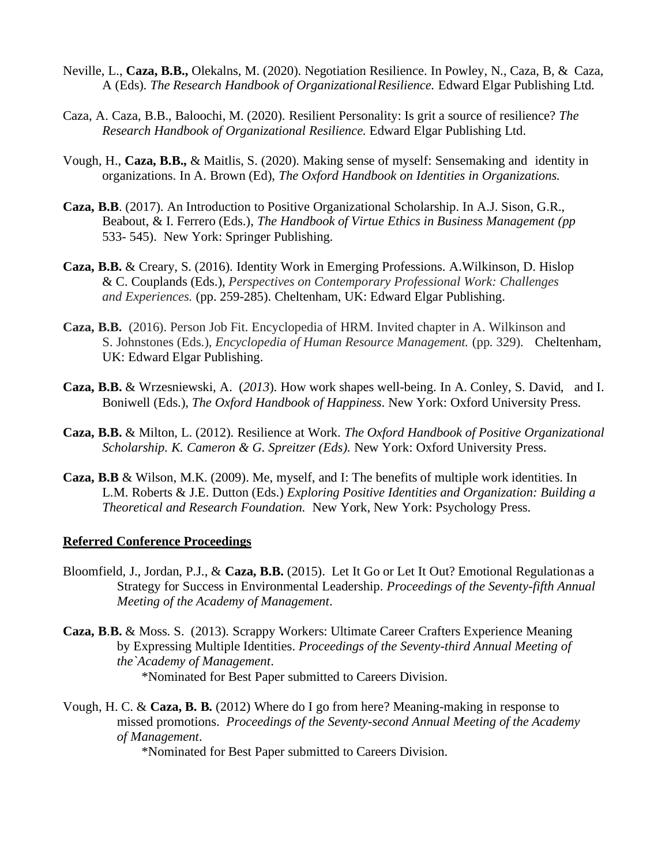- Neville, L., **Caza, B.B.,** Olekalns, M. (2020). Negotiation Resilience. In Powley, N., Caza, B, & Caza, A (Eds). *The Research Handbook of OrganizationalResilience.* Edward Elgar Publishing Ltd.
- Caza, A. Caza, B.B., Baloochi, M. (2020). Resilient Personality: Is grit a source of resilience? *The Research Handbook of Organizational Resilience.* Edward Elgar Publishing Ltd.
- Vough, H., **Caza, B.B.,** & Maitlis, S. (2020). Making sense of myself: Sensemaking and identity in organizations. In A. Brown (Ed), *The Oxford Handbook on Identities in Organizations.*
- **Caza, B.B**. (2017). An Introduction to Positive Organizational Scholarship. In A.J. Sison, G.R., Beabout, & I. Ferrero (Eds.), *The Handbook of Virtue Ethics in Business Management (pp* 533- 545). New York: Springer Publishing.
- **Caza, B.B.** & Creary, S. (2016). Identity Work in Emerging Professions. A.Wilkinson, D. Hislop & C. Couplands (Eds.), *Perspectives on Contemporary Professional Work: Challenges and Experiences.* (pp. 259-285). Cheltenham, UK: Edward Elgar Publishing.
- **Caza, B.B.** (2016). Person Job Fit. Encyclopedia of HRM. Invited chapter in A. Wilkinson and S. Johnstones (Eds.), *Encyclopedia of Human Resource Management.* (pp. 329). Cheltenham, UK: Edward Elgar Publishing.
- **Caza, B.B.** & Wrzesniewski, A. (*2013*). How work shapes well-being. In A. Conley, S. David, and I. Boniwell (Eds.), *The Oxford Handbook of Happiness*. New York: Oxford University Press.
- **Caza, B.B.** & Milton, L. (2012). Resilience at Work. *The Oxford Handbook of Positive Organizational Scholarship. K. Cameron & G. Spreitzer (Eds).* New York: Oxford University Press.
- **Caza, B.B** & Wilson, M.K. (2009). Me, myself, and I: The benefits of multiple work identities. In L.M. Roberts & J.E. Dutton (Eds.) *Exploring Positive Identities and Organization: Building a Theoretical and Research Foundation.* New York, New York: Psychology Press.

#### **Referred Conference Proceedings**

- Bloomfield, J., Jordan, P.J., & **Caza, B.B.** (2015). Let It Go or Let It Out? Emotional Regulationas a Strategy for Success in Environmental Leadership. *Proceedings of the Seventy-fifth Annual Meeting of the Academy of Management*.
- **Caza, B**.**B.** & Moss. S. (2013). [Scrappy Workers: Ultimate Career](https://scholar.google.ca/citations?view_op=view_citation&hl=en&user=XtHtl_0AAAAJ&sortby=pubdate&citation_for_view=XtHtl_0AAAAJ:_FxGoFyzp5QC) Crafters Experience Meaning by [Expressing Multiple Identities.](https://scholar.google.ca/citations?view_op=view_citation&hl=en&user=XtHtl_0AAAAJ&sortby=pubdate&citation_for_view=XtHtl_0AAAAJ:_FxGoFyzp5QC) *Proceedings of the Seventy-third Annual Meeting of the`Academy of Management*. \*Nominated for Best Paper submitted to Careers Division.
- Vough, H. C. & **Caza, B. B.** (2012) Where do I go from here? Meaning-making in response to missed promotions. *Proceedings of the Seventy-second Annual Meeting of the Academy of Management*.

\*Nominated for Best Paper submitted to Careers Division.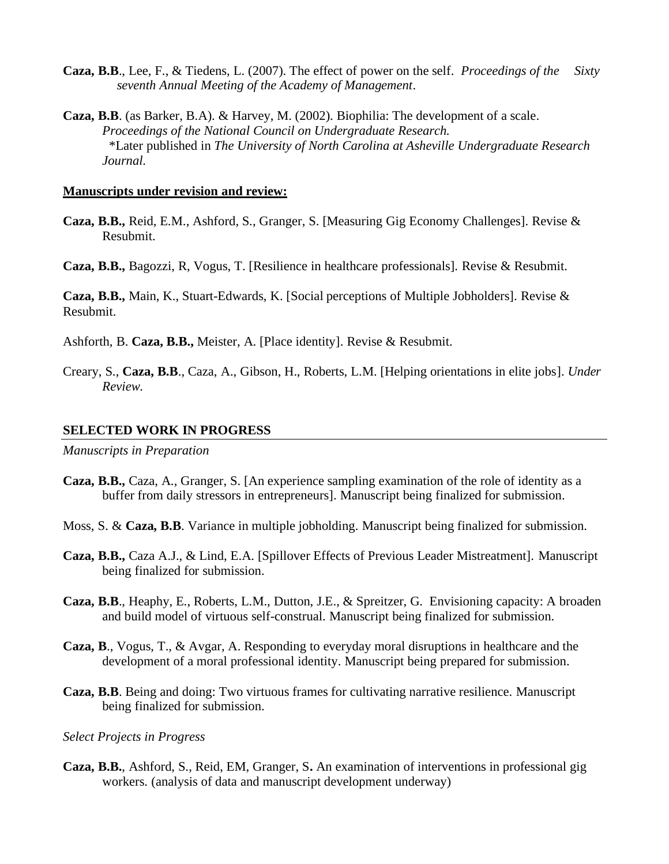- **Caza, B.B**., Lee, F., & Tiedens, L. (2007). The effect of power on the self. *Proceedings of the Sixty seventh Annual Meeting of the Academy of Management*.
- **Caza, B.B**. (as Barker, B.A). & Harvey, M. (2002). Biophilia: The development of a scale. *Proceedings of the National Council on Undergraduate Research.* \*Later published in *The University of North Carolina at Asheville Undergraduate Research Journal.*

#### **Manuscripts under revision and review:**

- **Caza, B.B.,** Reid, E.M., Ashford, S., Granger, S. [Measuring Gig Economy Challenges]. Revise & Resubmit.
- **Caza, B.B.,** Bagozzi, R, Vogus, T. [Resilience in healthcare professionals]. Revise & Resubmit.

**Caza, B.B.,** Main, K., Stuart-Edwards, K. [Social perceptions of Multiple Jobholders]. Revise & Resubmit.

Ashforth, B. **Caza, B.B.,** Meister, A. [Place identity]. Revise & Resubmit.

Creary, S., **Caza, B.B**., Caza, A., Gibson, H., Roberts, L.M. [Helping orientations in elite jobs]. *Under Review.*

#### **SELECTED WORK IN PROGRESS**

*Manuscripts in Preparation*

- **Caza, B.B.,** Caza, A., Granger, S. [An experience sampling examination of the role of identity as a buffer from daily stressors in entrepreneurs]. Manuscript being finalized for submission.
- Moss, S. & **Caza, B.B**. Variance in multiple jobholding. Manuscript being finalized for submission.
- **Caza, B.B.,** Caza A.J., & Lind, E.A. [Spillover Effects of Previous Leader Mistreatment]. Manuscript being finalized for submission.
- **Caza, B.B**., Heaphy, E., Roberts, L.M., Dutton, J.E., & Spreitzer, G. Envisioning capacity: A broaden and build model of virtuous self-construal. Manuscript being finalized for submission.
- **Caza, B**., Vogus, T., & Avgar, A. Responding to everyday moral disruptions in healthcare and the development of a moral professional identity. Manuscript being prepared for submission.
- **Caza, B.B**. Being and doing: Two virtuous frames for cultivating narrative resilience. Manuscript being finalized for submission.

#### *Select Projects in Progress*

**Caza, B.B.**, Ashford, S., Reid, EM, Granger, S**.** An examination of interventions in professional gig workers. (analysis of data and manuscript development underway)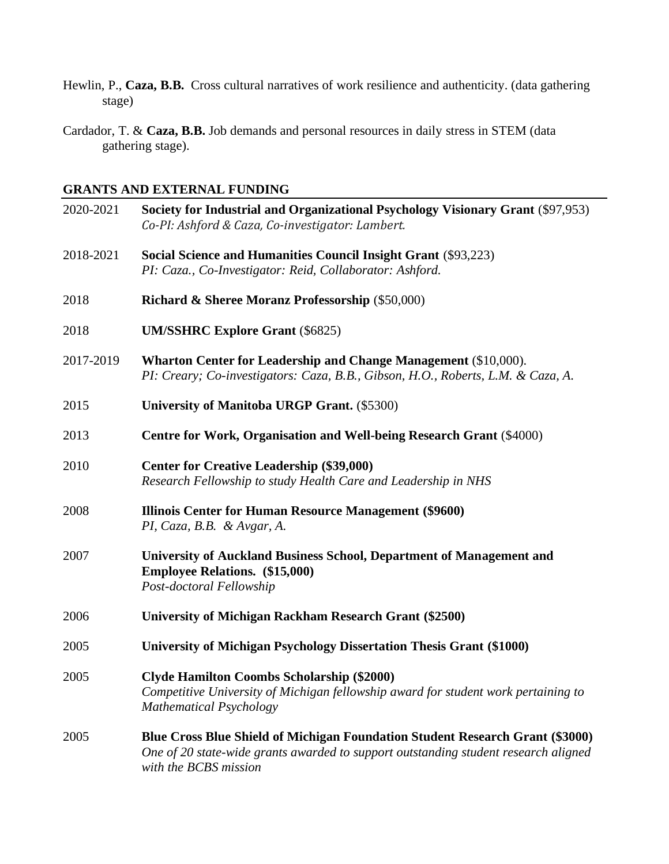- Hewlin, P., **Caza, B.B.** Cross cultural narratives of work resilience and authenticity. (data gathering stage)
- Cardador, T. & **Caza, B.B.** Job demands and personal resources in daily stress in STEM (data gathering stage).

# **GRANTS AND EXTERNAL FUNDING**

| 2020-2021 | Society for Industrial and Organizational Psychology Visionary Grant (\$97,953)<br>Co-PI: Ashford & Caza, Co-investigator: Lambert.                                       |
|-----------|---------------------------------------------------------------------------------------------------------------------------------------------------------------------------|
| 2018-2021 | Social Science and Humanities Council Insight Grant (\$93,223)<br>PI: Caza., Co-Investigator: Reid, Collaborator: Ashford.                                                |
| 2018      | <b>Richard &amp; Sheree Moranz Professorship (\$50,000)</b>                                                                                                               |
| 2018      | <b>UM/SSHRC Explore Grant (\$6825)</b>                                                                                                                                    |
| 2017-2019 | Wharton Center for Leadership and Change Management (\$10,000).<br>PI: Creary; Co-investigators: Caza, B.B., Gibson, H.O., Roberts, L.M. & Caza, A.                       |
| 2015      | <b>University of Manitoba URGP Grant.</b> (\$5300)                                                                                                                        |
| 2013      | Centre for Work, Organisation and Well-being Research Grant (\$4000)                                                                                                      |
| 2010      | <b>Center for Creative Leadership (\$39,000)</b><br>Research Fellowship to study Health Care and Leadership in NHS                                                        |
| 2008      | Illinois Center for Human Resource Management (\$9600)<br>PI, Caza, B.B. & Avgar, A.                                                                                      |
| 2007      | University of Auckland Business School, Department of Management and<br><b>Employee Relations.</b> (\$15,000)<br>Post-doctoral Fellowship                                 |
| 2006      | University of Michigan Rackham Research Grant (\$2500)                                                                                                                    |
| 2005      | University of Michigan Psychology Dissertation Thesis Grant (\$1000)                                                                                                      |
| 2005      | <b>Clyde Hamilton Coombs Scholarship (\$2000)</b><br>Competitive University of Michigan fellowship award for student work pertaining to<br><b>Mathematical Psychology</b> |
| 2005      | Blue Cross Blue Shield of Michigan Foundation Student Research Grant (\$3000)                                                                                             |

*One of 20 state-wide grants awarded to support outstanding student research aligned with the BCBS mission*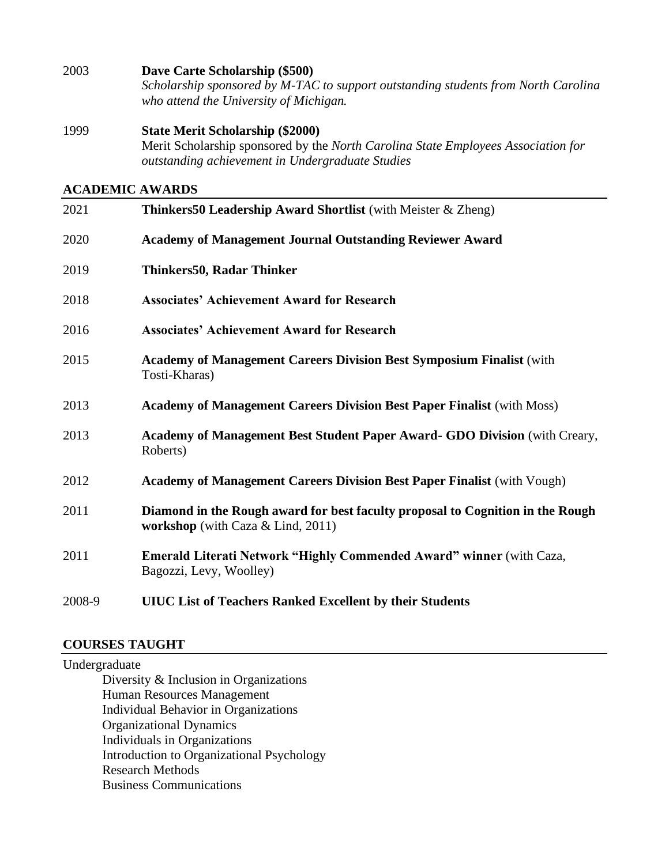2003 **Dave Carte Scholarship (\$500)** *Scholarship sponsored by M-TAC to support outstanding students from North Carolina who attend the University of Michigan.*

1999 **State Merit Scholarship (\$2000)** Merit Scholarship sponsored by the *North Carolina State Employees Association for outstanding achievement in Undergraduate Studies*

## **ACADEMIC AWARDS**

| 2021   | <b>Thinkers50 Leadership Award Shortlist</b> (with Meister & Zheng)                                                    |
|--------|------------------------------------------------------------------------------------------------------------------------|
| 2020   | <b>Academy of Management Journal Outstanding Reviewer Award</b>                                                        |
| 2019   | Thinkers50, Radar Thinker                                                                                              |
| 2018   | <b>Associates' Achievement Award for Research</b>                                                                      |
| 2016   | <b>Associates' Achievement Award for Research</b>                                                                      |
| 2015   | Academy of Management Careers Division Best Symposium Finalist (with<br>Tosti-Kharas)                                  |
| 2013   | <b>Academy of Management Careers Division Best Paper Finalist (with Moss)</b>                                          |
| 2013   | Academy of Management Best Student Paper Award- GDO Division (with Creary,<br>Roberts)                                 |
| 2012   | <b>Academy of Management Careers Division Best Paper Finalist (with Vough)</b>                                         |
| 2011   | Diamond in the Rough award for best faculty proposal to Cognition in the Rough<br>workshop (with Caza $& Lind, 2011$ ) |
| 2011   | <b>Emerald Literati Network "Highly Commended Award" winner (with Caza,</b><br>Bagozzi, Levy, Woolley)                 |
| 2008-9 | <b>UIUC List of Teachers Ranked Excellent by their Students</b>                                                        |

#### **COURSES TAUGHT**

Undergraduate Diversity & Inclusion in Organizations Human Resources Management Individual Behavior in Organizations Organizational Dynamics Individuals in Organizations Introduction to Organizational Psychology Research Methods Business Communications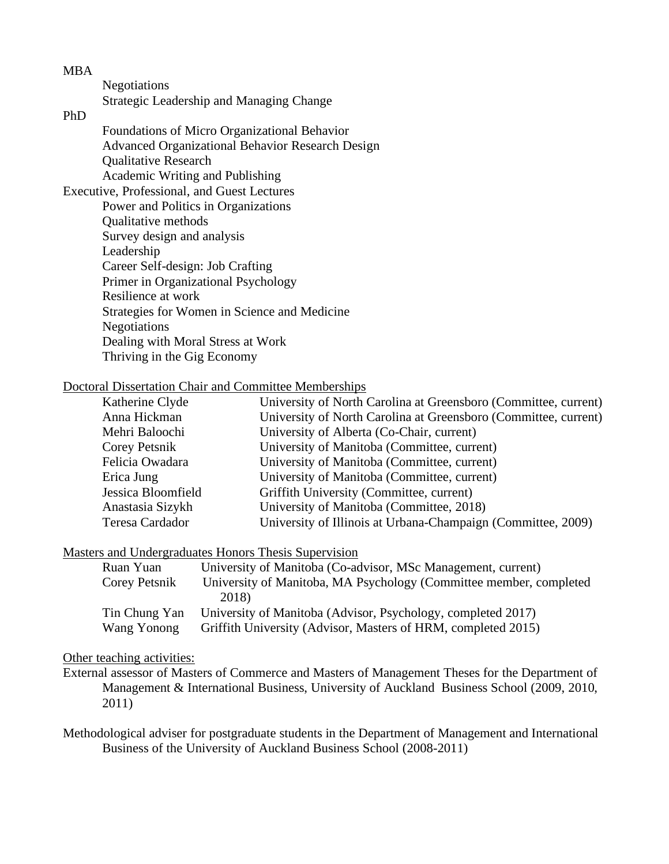**Negotiations** Strategic Leadership and Managing Change

# PhD

Foundations of Micro Organizational Behavior Advanced Organizational Behavior Research Design Qualitative Research Academic Writing and Publishing

Executive, Professional, and Guest Lectures Power and Politics in Organizations Qualitative methods Survey design and analysis Leadership Career Self-design: Job Crafting Primer in Organizational Psychology Resilience at work Strategies for Women in Science and Medicine Negotiations Dealing with Moral Stress at Work Thriving in the Gig Economy

### Doctoral Dissertation Chair and Committee Memberships

| University of North Carolina at Greensboro (Committee, current) |
|-----------------------------------------------------------------|
| University of North Carolina at Greensboro (Committee, current) |
| University of Alberta (Co-Chair, current)                       |
| University of Manitoba (Committee, current)                     |
| University of Manitoba (Committee, current)                     |
| University of Manitoba (Committee, current)                     |
| Griffith University (Committee, current)                        |
| University of Manitoba (Committee, 2018)                        |
| University of Illinois at Urbana-Champaign (Committee, 2009)    |
|                                                                 |

### Masters and Undergraduates Honors Thesis Supervision

| Ruan Yuan     | University of Manitoba (Co-advisor, MSc Management, current)       |
|---------------|--------------------------------------------------------------------|
| Corey Petsnik | University of Manitoba, MA Psychology (Committee member, completed |
|               | 2018)                                                              |
| Tin Chung Yan | University of Manitoba (Advisor, Psychology, completed 2017)       |
| Wang Yonong   | Griffith University (Advisor, Masters of HRM, completed 2015)      |

### Other teaching activities:

External assessor of Masters of Commerce and Masters of Management Theses for the Department of Management & International Business, University of Auckland Business School (2009, 2010, 2011)

Methodological adviser for postgraduate students in the Department of Management and International Business of the University of Auckland Business School (2008-2011)

#### MBA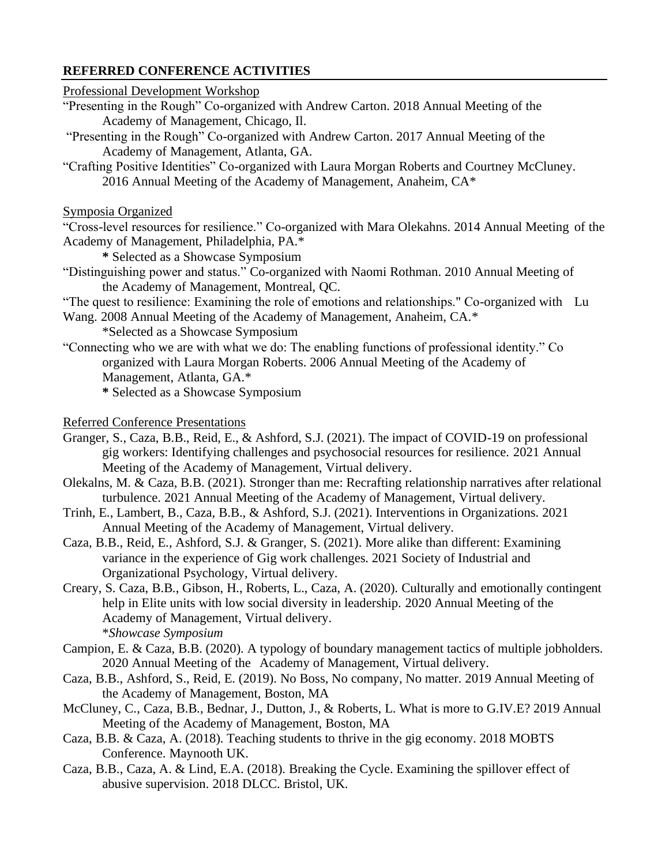## **REFERRED CONFERENCE ACTIVITIES**

#### Professional Development Workshop

- "Presenting in the Rough" Co-organized with Andrew Carton. 2018 Annual Meeting of the Academy of Management, Chicago, Il.
- "Presenting in the Rough" Co-organized with Andrew Carton. 2017 Annual Meeting of the Academy of Management, Atlanta, GA.
- "Crafting Positive Identities" Co-organized with Laura Morgan Roberts and Courtney McCluney. 2016 Annual Meeting of the Academy of Management, Anaheim, CA\*

#### Symposia Organized

"Cross-level resources for resilience." Co-organized with Mara Olekahns. 2014 Annual Meeting of the Academy of Management, Philadelphia, PA.\*

- **\*** Selected as a Showcase Symposium
- "Distinguishing power and status." Co-organized with Naomi Rothman. 2010 Annual Meeting of the Academy of Management, Montreal, QC.
- "The quest to resilience: Examining the role of emotions and relationships." Co-organized with Lu Wang. 2008 Annual Meeting of the Academy of Management, Anaheim, CA.\*

\*Selected as a Showcase Symposium

- "Connecting who we are with what we do: The enabling functions of professional identity." Co organized with Laura Morgan Roberts. 2006 Annual Meeting of the Academy of Management, Atlanta, GA.\*
	- **\*** Selected as a Showcase Symposium

#### Referred Conference Presentations

- Granger, S., Caza, B.B., Reid, E., & Ashford, S.J. (2021). The impact of COVID-19 on professional gig workers: Identifying challenges and psychosocial resources for resilience. 2021 Annual Meeting of the Academy of Management, Virtual delivery.
- Olekalns, M. & Caza, B.B. (2021). Stronger than me: Recrafting relationship narratives after relational turbulence. 2021 Annual Meeting of the Academy of Management, Virtual delivery.
- Trinh, E., Lambert, B., Caza, B.B., & Ashford, S.J. (2021). Interventions in Organizations. 2021 Annual Meeting of the Academy of Management, Virtual delivery.
- Caza, B.B., Reid, E., Ashford, S.J. & Granger, S. (2021). More alike than different: Examining variance in the experience of Gig work challenges. 2021 Society of Industrial and Organizational Psychology, Virtual delivery.
- Creary, S. Caza, B.B., Gibson, H., Roberts, L., Caza, A. (2020). Culturally and emotionally contingent help in Elite units with low social diversity in leadership. 2020 Annual Meeting of the Academy of Management, Virtual delivery. \**Showcase Symposium*
- Campion, E. & Caza, B.B. (2020). A typology of boundary management tactics of multiple jobholders. 2020 Annual Meeting of the Academy of Management, Virtual delivery.
- Caza, B.B., Ashford, S., Reid, E. (2019). No Boss, No company, No matter. 2019 Annual Meeting of the Academy of Management, Boston, MA
- McCluney, C., Caza, B.B., Bednar, J., Dutton, J., & Roberts, L. What is more to G.IV.E? 2019 Annual Meeting of the Academy of Management, Boston, MA
- Caza, B.B. & Caza, A. (2018). Teaching students to thrive in the gig economy. 2018 MOBTS Conference. Maynooth UK.
- Caza, B.B., Caza, A. & Lind, E.A. (2018). Breaking the Cycle. Examining the spillover effect of abusive supervision. 2018 DLCC. Bristol, UK.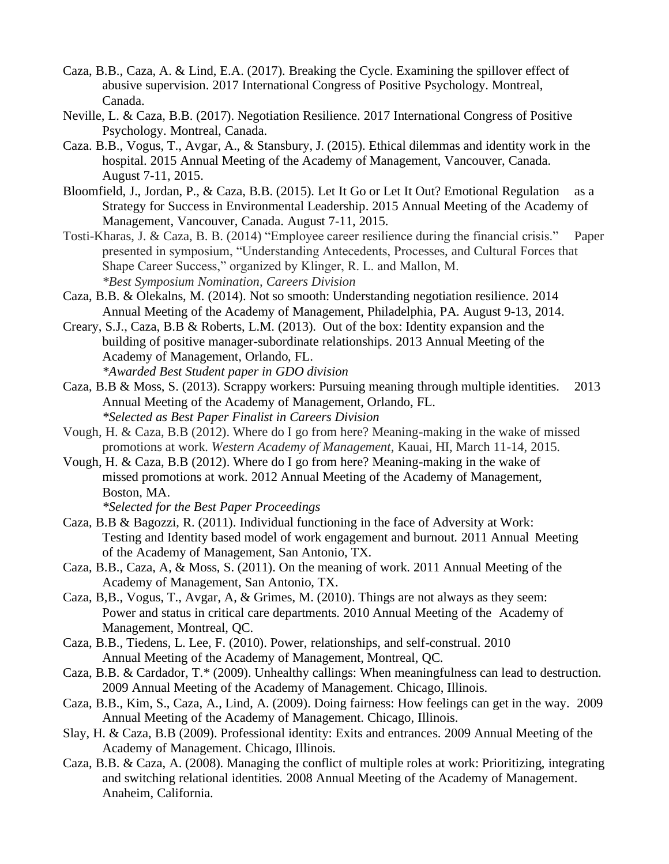- Caza, B.B., Caza, A. & Lind, E.A. (2017). Breaking the Cycle. Examining the spillover effect of abusive supervision. 2017 International Congress of Positive Psychology. Montreal, Canada.
- Neville, L. & Caza, B.B. (2017). Negotiation Resilience. 2017 International Congress of Positive Psychology. Montreal, Canada.
- Caza. B.B., Vogus, T., Avgar, A., & Stansbury, J. (2015). Ethical dilemmas and identity work in the hospital. 2015 Annual Meeting of the Academy of Management, Vancouver, Canada. August 7-11, 2015.
- Bloomfield, J., Jordan, P., & Caza, B.B. (2015). Let It Go or Let It Out? Emotional Regulation as a Strategy for Success in Environmental Leadership. 2015 Annual Meeting of the Academy of Management, Vancouver, Canada. August 7-11, 2015.
- Tosti-Kharas, J. & Caza, B. B. (2014) "Employee career resilience during the financial crisis." Paper presented in symposium, "Understanding Antecedents, Processes, and Cultural Forces that Shape Career Success," organized by Klinger, R. L. and Mallon, M. *\*Best Symposium Nomination, Careers Division*
- Caza, B.B. & Olekalns, M. (2014). Not so smooth: Understanding negotiation resilience. 2014 Annual Meeting of the Academy of Management, Philadelphia, PA. August 9-13, 2014.
- Creary, S.J., Caza, B.B & Roberts, L.M. (2013). Out of the box: Identity expansion and the building of positive manager-subordinate relationships. 2013 Annual Meeting of the Academy of Management, Orlando, FL.

*\*Awarded Best Student paper in GDO division*

- Caza, B.B & Moss, S. (2013). Scrappy workers: Pursuing meaning through multiple identities. 2013 Annual Meeting of the Academy of Management, Orlando, FL. *\*Selected as Best Paper Finalist in Careers Division*
- Vough, H. & Caza, B.B (2012). Where do I go from here? Meaning-making in the wake of missed promotions at work. *Western Academy of Management*, Kauai, HI, March 11-14, 2015.
- Vough, H. & Caza, B.B (2012). Where do I go from here? Meaning-making in the wake of missed promotions at work. 2012 Annual Meeting of the Academy of Management, Boston, MA.

*\*Selected for the Best Paper Proceedings*

- Caza, B.B & Bagozzi, R. (2011). Individual functioning in the face of Adversity at Work: Testing and Identity based model of work engagement and burnout. 2011 Annual Meeting of the Academy of Management, San Antonio, TX.
- Caza, B.B., Caza, A, & Moss, S. (2011). On the meaning of work. 2011 Annual Meeting of the Academy of Management, San Antonio, TX.
- Caza, B,B., Vogus, T., Avgar, A, & Grimes, M. (2010). Things are not always as they seem: Power and status in critical care departments. 2010 Annual Meeting of the Academy of Management, Montreal, QC.
- Caza, B.B., Tiedens, L. Lee, F. (2010). Power, relationships, and self-construal. 2010 Annual Meeting of the Academy of Management, Montreal, QC.
- Caza, B.B. & Cardador, T.\* (2009). Unhealthy callings: When meaningfulness can lead to destruction. 2009 Annual Meeting of the Academy of Management. Chicago, Illinois.
- Caza, B.B., Kim, S., Caza, A., Lind, A. (2009). Doing fairness: How feelings can get in the way. 2009 Annual Meeting of the Academy of Management. Chicago, Illinois.
- Slay, H. & Caza, B.B (2009). Professional identity: Exits and entrances. 2009 Annual Meeting of the Academy of Management. Chicago, Illinois.
- Caza, B.B. & Caza, A. (2008). Managing the conflict of multiple roles at work: Prioritizing, integrating and switching relational identities*.* 2008 Annual Meeting of the Academy of Management. Anaheim, California.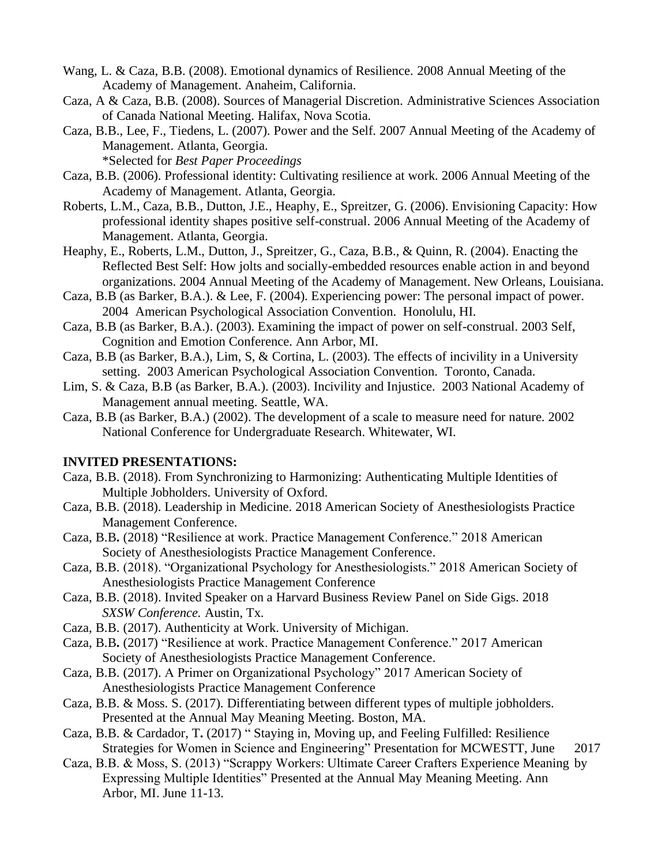- Wang, L. & Caza, B.B. (2008). Emotional dynamics of Resilience. 2008 Annual Meeting of the Academy of Management. Anaheim, California.
- Caza, A & Caza, B.B. (2008). Sources of Managerial Discretion*.* Administrative Sciences Association of Canada National Meeting. Halifax, Nova Scotia.
- Caza, B.B., Lee, F., Tiedens, L. (2007). Power and the Self. 2007 Annual Meeting of the Academy of Management. Atlanta, Georgia.

\*Selected for *Best Paper Proceedings*

- Caza, B.B. (2006). Professional identity: Cultivating resilience at work. 2006 Annual Meeting of the Academy of Management. Atlanta, Georgia.
- Roberts, L.M., Caza, B.B., Dutton, J.E., Heaphy, E., Spreitzer, G. (2006). Envisioning Capacity: How professional identity shapes positive self-construal. 2006 Annual Meeting of the Academy of Management. Atlanta, Georgia.
- Heaphy, E., Roberts, L.M., Dutton, J., Spreitzer, G., Caza, B.B., & Quinn, R. (2004). Enacting the Reflected Best Self: How jolts and socially-embedded resources enable action in and beyond organizations. 2004 Annual Meeting of the Academy of Management. New Orleans, Louisiana.
- Caza, B.B (as Barker, B.A.). & Lee, F. (2004). Experiencing power: The personal impact of power. 2004 American Psychological Association Convention. Honolulu, HI.
- Caza, B.B (as Barker, B.A.). (2003). Examining the impact of power on self-construal. 2003 Self, Cognition and Emotion Conference. Ann Arbor, MI.
- Caza, B.B (as Barker, B.A.), Lim, S, & Cortina, L. (2003). The effects of incivility in a University setting. 2003 American Psychological Association Convention. Toronto, Canada.
- Lim, S. & Caza, B.B (as Barker, B.A.). (2003). Incivility and Injustice. 2003 National Academy of Management annual meeting. Seattle, WA.
- Caza, B.B (as Barker, B.A.) (2002). The development of a scale to measure need for nature. 2002 National Conference for Undergraduate Research. Whitewater, WI.

## **INVITED PRESENTATIONS:**

- Caza, B.B. (2018). From Synchronizing to Harmonizing: Authenticating Multiple Identities of Multiple Jobholders. University of Oxford.
- Caza, B.B. (2018). Leadership in Medicine. 2018 American Society of Anesthesiologists Practice Management Conference.
- Caza, B.B**.** (2018) "Resilience at work. Practice Management Conference." 2018 American Society of Anesthesiologists Practice Management Conference.
- Caza, B.B. (2018). "Organizational Psychology for Anesthesiologists." 2018 American Society of Anesthesiologists Practice Management Conference
- Caza, B.B. (2018). Invited Speaker on a Harvard Business Review Panel on Side Gigs. 2018 *SXSW Conference.* Austin, Tx.
- Caza, B.B. (2017). Authenticity at Work. University of Michigan.
- Caza, B.B**.** (2017) "Resilience at work. Practice Management Conference." 2017 American Society of Anesthesiologists Practice Management Conference.
- Caza, B.B. (2017). A Primer on Organizational Psychology" 2017 American Society of Anesthesiologists Practice Management Conference
- Caza, B.B. & Moss. S. (2017). Differentiating between different types of multiple jobholders. Presented at the Annual May Meaning Meeting. Boston, MA.
- Caza, B.B. & Cardador, T**.** (2017) " Staying in, Moving up, and Feeling Fulfilled: Resilience Strategies for Women in Science and Engineering" Presentation for MCWESTT, June 2017
- Caza, B.B. & Moss, S. (2013) "Scrappy Workers: Ultimate Career Crafters Experience Meaning by Expressing Multiple Identities" Presented at the Annual May Meaning Meeting. Ann Arbor, MI. June 11-13.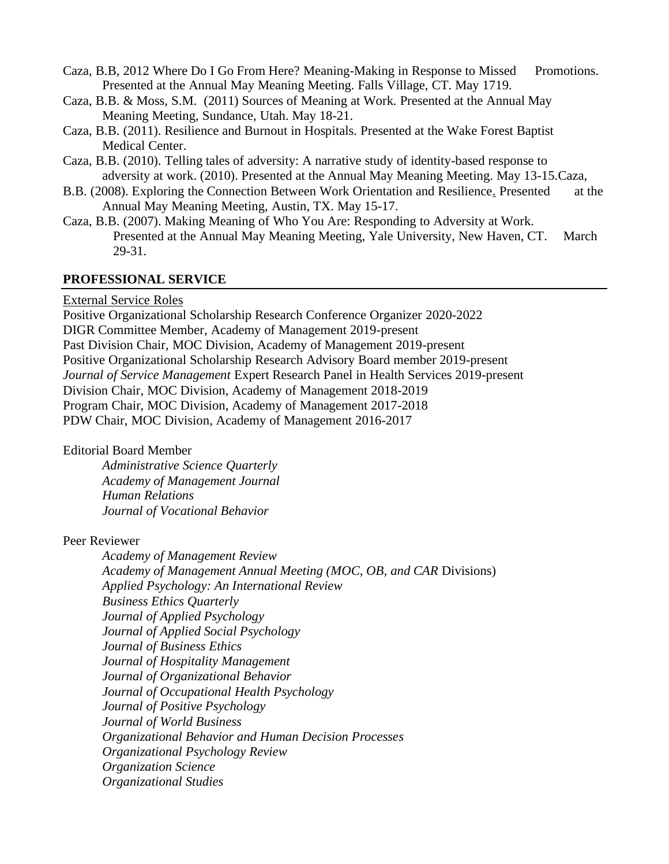- Caza, B.B, 2012 Where Do I Go From Here? Meaning-Making in Response to Missed Promotions. Presented at the Annual May Meaning Meeting. Falls Village, CT. May 1719.
- Caza, B.B. & Moss, S.M. (2011) Sources of Meaning at Work. Presented at the Annual May Meaning Meeting, Sundance, Utah. May 18-21.
- Caza, B.B. (2011). Resilience and Burnout in Hospitals. Presented at the Wake Forest Baptist Medical Center.
- Caza, B.B. (2010). Telling tales of adversity: A narrative study of identity-based response to adversity at work. (2010). Presented at the Annual May Meaning Meeting. May 13-15.Caza,
- B.B. (2008). [Exploring the Connection Between Work Orientation and Resilience.](http://conf.som.yale.edu/maymeaningmeeting/MMMCaza2.ppt) Presented at the Annual May Meaning Meeting, Austin, TX. May 15-17.
- Caza, B.B. (2007). Making Meaning of Who You Are: Responding to Adversity at Work. Presented at the Annual May Meaning Meeting, Yale University, New Haven, CT. March 29-31.

# **PROFESSIONAL SERVICE**

## External Service Roles

Positive Organizational Scholarship Research Conference Organizer 2020-2022 DIGR Committee Member, Academy of Management 2019-present Past Division Chair, MOC Division, Academy of Management 2019-present Positive Organizational Scholarship Research Advisory Board member 2019-present *Journal of Service Management* Expert Research Panel in Health Services 2019-present Division Chair, MOC Division, Academy of Management 2018-2019 Program Chair, MOC Division, Academy of Management 2017-2018 PDW Chair, MOC Division, Academy of Management 2016-2017

Editorial Board Member

*Administrative Science Quarterly Academy of Management Journal Human Relations Journal of Vocational Behavior*

Peer Reviewer

*Academy of Management Review Academy of Management Annual Meeting (MOC, OB, and CAR* Divisions) *Applied Psychology: An International Review Business Ethics Quarterly Journal of Applied Psychology Journal of Applied Social Psychology Journal of Business Ethics Journal of Hospitality Management Journal of Organizational Behavior Journal of Occupational Health Psychology Journal of Positive Psychology Journal of World Business Organizational Behavior and Human Decision Processes Organizational Psychology Review Organization Science Organizational Studies*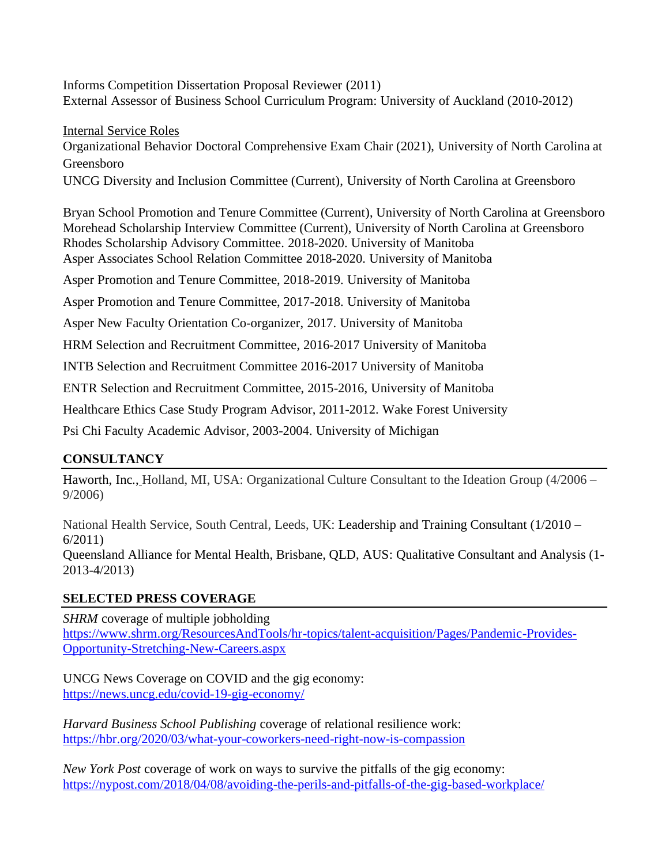Informs Competition Dissertation Proposal Reviewer (2011) External Assessor of Business School Curriculum Program: University of Auckland (2010-2012)

Internal Service Roles Organizational Behavior Doctoral Comprehensive Exam Chair (2021), University of North Carolina at Greensboro UNCG Diversity and Inclusion Committee (Current), University of North Carolina at Greensboro

Bryan School Promotion and Tenure Committee (Current), University of North Carolina at Greensboro Morehead Scholarship Interview Committee (Current), University of North Carolina at Greensboro Rhodes Scholarship Advisory Committee. 2018-2020. University of Manitoba Asper Associates School Relation Committee 2018-2020. University of Manitoba

Asper Promotion and Tenure Committee, 2018-2019. University of Manitoba

Asper Promotion and Tenure Committee, 2017-2018. University of Manitoba

Asper New Faculty Orientation Co-organizer, 2017. University of Manitoba

HRM Selection and Recruitment Committee, 2016-2017 University of Manitoba

INTB Selection and Recruitment Committee 2016-2017 University of Manitoba

ENTR Selection and Recruitment Committee, 2015-2016, University of Manitoba

Healthcare Ethics Case Study Program Advisor, 2011-2012. Wake Forest University

Psi Chi Faculty Academic Advisor, 2003-2004. University of Michigan

# **CONSULTANCY**

[Haworth,](http://www.haworth.com/) Inc., Holland, MI, USA: Organizational Culture Consultant to the Ideation Group (4/2006 – 9/2006)

National Health Service, South Central, Leeds, UK: Leadership and Training Consultant (1/2010 – 6/2011)

Queensland Alliance for Mental Health, Brisbane, QLD, AUS: Qualitative Consultant and Analysis (1- 2013-4/2013)

# **SELECTED PRESS COVERAGE**

*SHRM* coverage of multiple jobholding [https://www.shrm.org/ResourcesAndTools/hr-topics/talent-acquisition/Pages/Pandemic-Provides-](https://www.shrm.org/ResourcesAndTools/hr-topics/talent-acquisition/Pages/Pandemic-Provides-Opportunity-Stretching-New-Careers.aspx)[Opportunity-Stretching-New-Careers.aspx](https://www.shrm.org/ResourcesAndTools/hr-topics/talent-acquisition/Pages/Pandemic-Provides-Opportunity-Stretching-New-Careers.aspx)

UNCG News Coverage on COVID and the gig economy: <https://news.uncg.edu/covid-19-gig-economy/>

*Harvard Business School Publishing* coverage of relational resilience work: <https://hbr.org/2020/03/what-your-coworkers-need-right-now-is-compassion>

*New York Post* coverage of work on ways to survive the pitfalls of the gig economy: <https://nypost.com/2018/04/08/avoiding-the-perils-and-pitfalls-of-the-gig-based-workplace/>